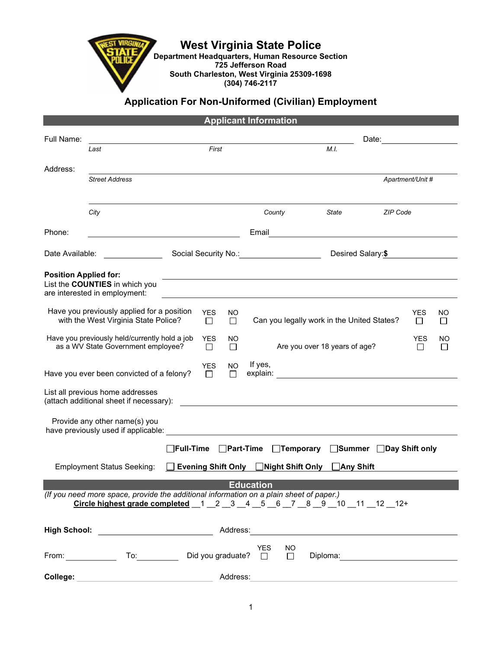West Virginia State Police

Department Headquarters, Human Resource Section **725 Jefferson Road** South Charleston, West Virginia 25309-1698 (304) 746-2117

## Application For Non-Uniformed (Civilian) Employment

|                                                                                     |                                                                                                                                                                                     |                            |                      |               | <b>Applicant Information</b>                   |                               |                                                                                                                       |                 |                      |                    |  |
|-------------------------------------------------------------------------------------|-------------------------------------------------------------------------------------------------------------------------------------------------------------------------------------|----------------------------|----------------------|---------------|------------------------------------------------|-------------------------------|-----------------------------------------------------------------------------------------------------------------------|-----------------|----------------------|--------------------|--|
| Full Name:                                                                          |                                                                                                                                                                                     |                            |                      |               | Date: <u>_____________</u>                     |                               |                                                                                                                       |                 |                      |                    |  |
|                                                                                     | Last                                                                                                                                                                                |                            | First                |               |                                                |                               | M.I.                                                                                                                  |                 |                      |                    |  |
| Address:                                                                            |                                                                                                                                                                                     |                            |                      |               |                                                |                               |                                                                                                                       |                 |                      |                    |  |
|                                                                                     | <b>Street Address</b>                                                                                                                                                               |                            |                      |               |                                                |                               |                                                                                                                       |                 | Apartment/Unit #     |                    |  |
|                                                                                     |                                                                                                                                                                                     |                            |                      |               |                                                |                               |                                                                                                                       |                 |                      |                    |  |
|                                                                                     | City                                                                                                                                                                                |                            |                      |               | County                                         |                               | <i><b>State</b></i> <b>contracts</b>                                                                                  | <b>ZIP Code</b> |                      |                    |  |
| Phone:                                                                              | <u> 1989 - Johann Barn, fransk politik (</u>                                                                                                                                        |                            |                      |               | Email                                          |                               | <u> 1989 - Jan Sterlinger, fransk politiker (d. 1989)</u>                                                             |                 |                      |                    |  |
|                                                                                     | Date Available:                                                                                                                                                                     |                            |                      |               | Social Security No.: 1997<br>Desired Salary:\$ |                               |                                                                                                                       |                 |                      |                    |  |
| <b>Position Applied for:</b>                                                        | List the COUNTIES in which you<br>are interested in employment:                                                                                                                     |                            |                      |               |                                                |                               |                                                                                                                       |                 |                      |                    |  |
|                                                                                     | Have you previously applied for a position<br>with the West Virginia State Police?                                                                                                  |                            | <b>YES</b><br>$\Box$ | NO.<br>$\Box$ |                                                |                               | Can you legally work in the United States?                                                                            |                 | YES<br>П             | NO<br>□            |  |
| Have you previously held/currently hold a job<br>as a WV State Government employee? |                                                                                                                                                                                     |                            | <b>YES</b><br>П      | NO<br>П       |                                                | Are you over 18 years of age? |                                                                                                                       |                 | <b>YES</b><br>$\Box$ | ΝO<br>$\mathbf{L}$ |  |
|                                                                                     | Have you ever been convicted of a felony?                                                                                                                                           |                            | YES.<br>$\Box$       | NO.<br>$\Box$ | If yes,                                        |                               | explain: <u>___________________________________</u>                                                                   |                 |                      |                    |  |
|                                                                                     | List all previous home addresses<br>(attach additional sheet if necessary):                                                                                                         |                            |                      |               |                                                |                               | <u> 1989 - Johann Stoff, deutscher Stoffen und der Stoffen und der Stoffen und der Stoffen und der Stoffen und de</u> |                 |                      |                    |  |
|                                                                                     | Provide any other name(s) you                                                                                                                                                       |                            |                      |               |                                                |                               |                                                                                                                       |                 |                      |                    |  |
|                                                                                     |                                                                                                                                                                                     | <b>Full-Time</b> Part-Time |                      |               |                                                | $\Box$ Temporary              | <b>Summer</b> □Day Shift only                                                                                         |                 |                      |                    |  |
|                                                                                     | <b>Employment Status Seeking:</b>                                                                                                                                                   |                            |                      |               | Evening Shift Only □Night Shift Only           |                               | <b>_</b> Any Shift                                                                                                    |                 |                      |                    |  |
|                                                                                     |                                                                                                                                                                                     |                            |                      |               | <b>Education</b>                               |                               |                                                                                                                       |                 |                      |                    |  |
|                                                                                     | (If you need more space, provide the additional information on a plain sheet of paper.)<br>Circle highest grade completed $1 \t2 \t3 \t4 \t5 \t6 \t7 \t8 \t9 \t10 \t11 \t12 \t12^+$ |                            |                      |               |                                                |                               |                                                                                                                       |                 |                      |                    |  |
|                                                                                     | High School: <u>_________________________</u>                                                                                                                                       |                            |                      | Address:      |                                                |                               | <u> 1980 - Andrea Station, amerikansk politik (</u>                                                                   |                 |                      |                    |  |
|                                                                                     | <b>From:</b> To:                                                                                                                                                                    |                            |                      |               | <b>YES</b><br>Did you graduate? $\Box$         | <b>NO</b><br>□                | Diploma: <u>_____________________</u>                                                                                 |                 |                      |                    |  |
| College:                                                                            |                                                                                                                                                                                     |                            |                      | Address:      |                                                |                               |                                                                                                                       |                 |                      |                    |  |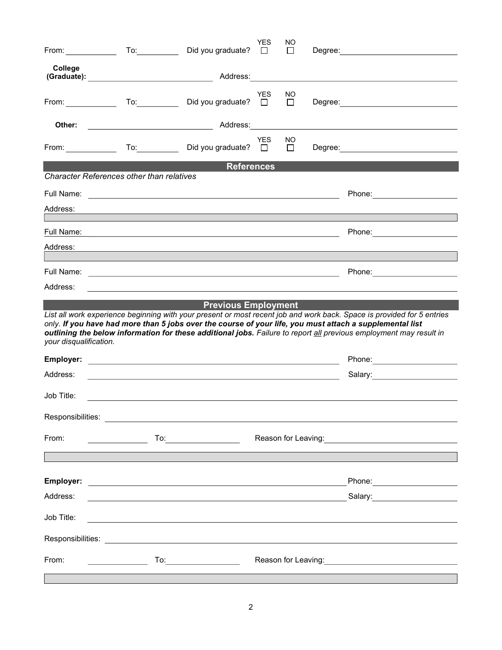|                                                                | From: $\qquad \qquad \text{To:} \qquad$                                                                               | Did you graduate?                                                                                                | <b>YES</b><br>$\Box$ | NO<br>$\perp$ |  | Degree: the contract of the contract of the contract of the contract of the contract of the contract of the contract of the contract of the contract of the contract of the contract of the contract of the contract of the co               |  |  |  |
|----------------------------------------------------------------|-----------------------------------------------------------------------------------------------------------------------|------------------------------------------------------------------------------------------------------------------|----------------------|---------------|--|----------------------------------------------------------------------------------------------------------------------------------------------------------------------------------------------------------------------------------------------|--|--|--|
| College                                                        |                                                                                                                       |                                                                                                                  |                      |               |  |                                                                                                                                                                                                                                              |  |  |  |
|                                                                |                                                                                                                       |                                                                                                                  | <b>YES</b>           | NO            |  |                                                                                                                                                                                                                                              |  |  |  |
| From: $\frac{1}{2}$                                            | $\overline{a}$ To: $\overline{a}$                                                                                     | Did you graduate? $\square$                                                                                      |                      | $\Box$        |  |                                                                                                                                                                                                                                              |  |  |  |
| Other:                                                         |                                                                                                                       |                                                                                                                  |                      |               |  |                                                                                                                                                                                                                                              |  |  |  |
|                                                                | From: $\qquad \qquad \qquad$ To: $\qquad \qquad$                                                                      | Did you graduate? $\square$                                                                                      | <b>YES</b>           | NO.<br>$\Box$ |  |                                                                                                                                                                                                                                              |  |  |  |
| <b>References</b><br>Character References other than relatives |                                                                                                                       |                                                                                                                  |                      |               |  |                                                                                                                                                                                                                                              |  |  |  |
|                                                                |                                                                                                                       |                                                                                                                  |                      |               |  | Phone: ________________________                                                                                                                                                                                                              |  |  |  |
| Address:                                                       |                                                                                                                       |                                                                                                                  |                      |               |  |                                                                                                                                                                                                                                              |  |  |  |
|                                                                |                                                                                                                       |                                                                                                                  |                      |               |  | Phone: _______________________                                                                                                                                                                                                               |  |  |  |
| Address:                                                       |                                                                                                                       | and the control of the control of the control of the control of the control of the control of the control of the |                      |               |  |                                                                                                                                                                                                                                              |  |  |  |
|                                                                |                                                                                                                       |                                                                                                                  |                      |               |  |                                                                                                                                                                                                                                              |  |  |  |
| Address:                                                       |                                                                                                                       |                                                                                                                  |                      |               |  | Phone: _______________________                                                                                                                                                                                                               |  |  |  |
|                                                                |                                                                                                                       |                                                                                                                  |                      |               |  |                                                                                                                                                                                                                                              |  |  |  |
|                                                                |                                                                                                                       |                                                                                                                  |                      |               |  |                                                                                                                                                                                                                                              |  |  |  |
| your disqualification.                                         | only. If you have had more than 5 jobs over the course of your life, you must attach a supplemental list              | <b>Previous Employment</b>                                                                                       |                      |               |  | List all work experience beginning with your present or most recent job and work back. Space is provided for 5 entries<br>outlining the below information for these additional jobs. Failure to report all previous employment may result in |  |  |  |
|                                                                |                                                                                                                       |                                                                                                                  |                      |               |  |                                                                                                                                                                                                                                              |  |  |  |
| Address:                                                       |                                                                                                                       | <u> 1980 - Johann Barn, fransk politik (d. 1980)</u>                                                             |                      |               |  | Phone: ________________________<br>Salary: _____________________                                                                                                                                                                             |  |  |  |
| Job Title:                                                     |                                                                                                                       |                                                                                                                  |                      |               |  |                                                                                                                                                                                                                                              |  |  |  |
|                                                                |                                                                                                                       |                                                                                                                  |                      |               |  |                                                                                                                                                                                                                                              |  |  |  |
| From:                                                          |                                                                                                                       |                                                                                                                  |                      |               |  | Reason for Leaving: <u>www.community.com</u>                                                                                                                                                                                                 |  |  |  |
|                                                                |                                                                                                                       |                                                                                                                  |                      |               |  |                                                                                                                                                                                                                                              |  |  |  |
|                                                                |                                                                                                                       |                                                                                                                  |                      |               |  |                                                                                                                                                                                                                                              |  |  |  |
| Address:                                                       | <u> 1989 - Andrea Station Barbara, actor a component de la componentación de la componentación de la componentaci</u> |                                                                                                                  |                      |               |  | Phone: _______________________                                                                                                                                                                                                               |  |  |  |
| Job Title:                                                     |                                                                                                                       |                                                                                                                  |                      |               |  | Salary: ____________________                                                                                                                                                                                                                 |  |  |  |
|                                                                |                                                                                                                       |                                                                                                                  |                      |               |  |                                                                                                                                                                                                                                              |  |  |  |
| From:                                                          | <u>and the state of the state</u>                                                                                     | To:__________________________                                                                                    |                      |               |  |                                                                                                                                                                                                                                              |  |  |  |